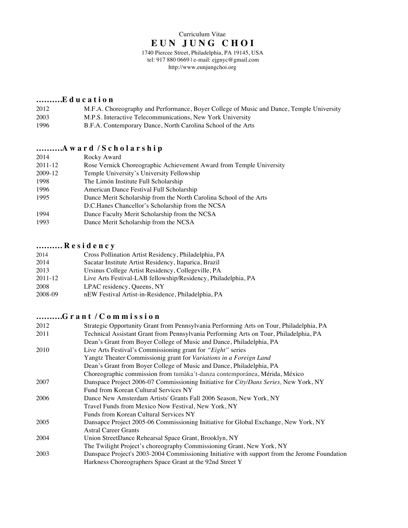tel: 917 880 0669 | e-mail: ejgnyc@gmail.com http://www.eunjungchoi.org

### **……….E d u c a t i o n**

- 2012 M.F.A. Choreography and Performance, Boyer College of Music and Dance, Temple University
- 2003 M.P.S. Interactive Telecommunications, New York University<br>1996 B.F.A. Contemporary Dance, North Carolina School of the Art
- B.F.A. Contemporary Dance, North Carolina School of the Arts

# **……….A w a r d / S c h o l a r s h i p**

| 2014    | Rocky Award                                                         |
|---------|---------------------------------------------------------------------|
| 2011-12 | Rose Vernick Choreographic Achievement Award from Temple University |
| 2009-12 | Temple University's University Fellowship                           |
| 1998    | The Limón Institute Full Scholarship                                |
| 1996    | American Dance Festival Full Scholarship                            |
| 1995    | Dance Merit Scholarship from the North Carolina School of the Arts  |
|         | D.C. Hanes Chancellor's Scholarship from the NCSA                   |
| 1994    | Dance Faculty Merit Scholarship from the NCSA                       |
| 1993    | Dance Merit Scholarship from the NCSA                               |
|         |                                                                     |

### **………. R e s i d e n c y**

| 2014        | Cross Pollination Artist Residency, Philadelphia, PA          |
|-------------|---------------------------------------------------------------|
| 2014        | Sacatar Institute Artist Residency, Itaparica, Brazil         |
| 2013        | Ursinus College Artist Residency, Collegeville, PA            |
| $2011 - 12$ | Live Arts Festival-LAB fellowship/Residency, Philadelphia, PA |
| 2008        | LPAC residency, Queens, NY                                    |
| 2008-09     | nEW Festival Artist-in-Residence, Philadelphia, PA            |

## **……….G r a n t / C o m m i s s i o n**

| 2012 | Strategic Opportunity Grant from Pennsylvania Performing Arts on Tour, Philadelphia, PA       |
|------|-----------------------------------------------------------------------------------------------|
| 2011 | Technical Assistant Grant from Pennsylvania Performing Arts on Tour, Philadelphia, PA         |
|      | Dean's Grant from Boyer College of Music and Dance, Philadelphia, PA                          |
| 2010 | Live Arts Festival's Commissioning grant for "Eight" series                                   |
|      | Yangtz Theater Commissionig grant for Variations in a Foreign Land                            |
|      | Dean's Grant from Boyer College of Music and Dance, Philadelphia, PA                          |
|      | Choreographic commission from tumàka't-danza contemporánea, Mérida, México                    |
| 2007 | Danspace Project 2006-07 Commissioning Initiative for City/Dans Series, New York, NY          |
|      | Fund from Korean Cultural Services NY                                                         |
| 2006 | Dance New Amsterdam Artists' Grants Fall 2006 Season, New York, NY                            |
|      | Travel Funds from Mexico Now Festival, New York, NY                                           |
|      | Funds from Korean Cultural Services NY                                                        |
| 2005 | Dansapce Project 2005-06 Commissioning Initiative for Global Exchange, New York, NY           |
|      | <b>Astral Career Grants</b>                                                                   |
| 2004 | Union StreetDance Rehearsal Space Grant, Brooklyn, NY                                         |
|      | The Twilight Project's choreography Commissioning Grant, New York, NY                         |
| 2003 | Danspace Project's 2003-2004 Commissioning Initiative with support from the Jerome Foundation |
|      | Harkness Choreographers Space Grant at the 92nd Street Y                                      |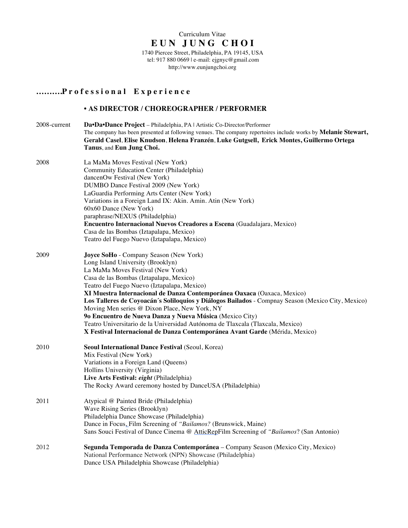tel: 917 880 0669 | e-mail: ejgnyc@gmail.com http://www.eunjungchoi.org

### **……….P r o f e s s i o n a l E x p e r i e n c e**

#### • **AS DIRECTOR / CHOREOGRAPHER / PERFORMER**

- 2008-current **Da•Da•Dance Project** Philadelphia, PA | Artistic Co-Director/Performer The company has been presented at following venues. The company repertoires include works by **Melanie Stewart, Gerald Casel**, **Elise Knudson**, **Helena Franzén**, **Luke Gutgsell, Erick Montes, Guillermo Ortega Tanus**, and **Eun Jung Choi.** 2008 La MaMa Moves Festival (New York) Community Education Center (Philadelphia) dancenOw Festival (New York) DUMBO Dance Festival 2009 (New York) LaGuardia Performing Arts Center (New York) Variations in a Foreign Land IX: Akin. Amin. Atin (New York) 60x60 Dance (New York) paraphrase/NEXUS (Philadelphia) **Encuentro Internacional Nuevos Creadores a Escena** (Guadalajara, Mexico) Casa de las Bombas (Iztapalapa, Mexico) Teatro del Fuego Nuevo (Iztapalapa, Mexico) 2009 **Joyce SoHo** - Company Season (New York) Long Island University (Brooklyn) La MaMa Moves Festival (New York) Casa de las Bombas (Iztapalapa, Mexico) Teatro del Fuego Nuevo (Iztapalapa, Mexico) **XI Muestra Internacional de Danza Contemporánea Oaxaca** (Oaxaca, Mexico) **Los Talleres de Coyoacán´s Soliloquios y Diálogos Bailados** - Compnay Season (Mexico City, Mexico)
	- Moving Men series @ Dixon Place, New York, NY **9o Encuentro de Nueva Danza y Nueva Música** (Mexico City)
	- Teatro Universitario de la Universidad Autónoma de Tlaxcala (Tlaxcala, Mexico)
		- **X Festival Internacional de Danza Contemporánea Avant Garde** (Mérida, Mexico)
- 2010 **Seoul International Dance Festival** (Seoul, Korea) Mix Festival (New York) Variations in a Foreign Land (Queens) Hollins University (Virginia) **Live Arts Festival:** *eight* (Philadelphia) The Rocky Award ceremony hosted by DanceUSA (Philadelphia)
- 2011 Atypical @ Painted Bride (Philadelphia) Wave Rising Series (Brooklyn) Philadelphia Dance Showcase (Philadelphia) Dance in Focus, Film Screening of *"Bailamos?* (Brunswick, Maine) Sans Souci Festival of Dance Cinema @ AtticRepFilm Screening of *"Bailamos*? (San Antonio)
- 2012 **Segunda Temporada de Danza Contemporánea** Company Season (Mexico City, Mexico) National Performance Network (NPN) Showcase (Philadelphia) Dance USA Philadelphia Showcase (Philadelphia)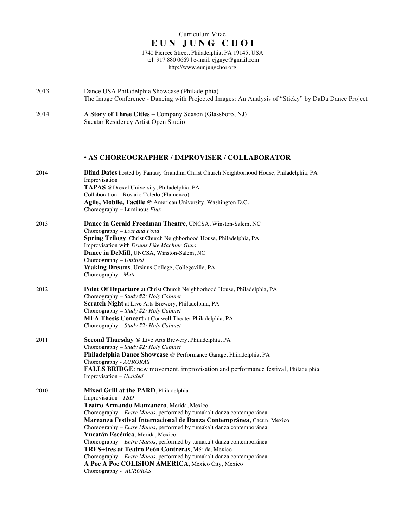1740 Piercee Street, Philadelphia, PA 19145, USA tel: 917 880 0669 | e-mail: ejgnyc@gmail.com http://www.eunjungchoi.org

| 2013 | Dance USA Philadelphia Showcase (Philadelphia)<br>The Image Conference - Dancing with Projected Images: An Analysis of "Sticky" by DaDa Dance Project |
|------|-------------------------------------------------------------------------------------------------------------------------------------------------------|
| 2014 | A Story of Three Cities – Company Season (Glassboro, NJ)                                                                                              |

Sacatar Residency Artist Open Studio

### • **AS CHOREOGRAPHER / IMPROVISER / COLLABORATOR**

| 2014 | <b>Blind Dates</b> hosted by Fantasy Grandma Christ Church Neighborhood House, Philadelphia, PA<br>Improvisation    |
|------|---------------------------------------------------------------------------------------------------------------------|
|      | <b>TAPAS</b> @Drexel University, Philadelphia, PA                                                                   |
|      | Collaboration - Rosario Toledo (Flamenco)                                                                           |
|      | Agile, Mobile, Tactile @ American University, Washington D.C.<br>Choreography – Luminous $Flux$                     |
| 2013 | Dance in Gerald Freedman Theatre, UNCSA, Winston-Salem, NC<br>Choreography - Lost and Fond                          |
|      | Spring Trilogy, Christ Church Neighborhood House, Philadelphia, PA<br>Improvisation with Drums Like Machine Guns    |
|      | Dance in DeMill, UNCSA, Winston-Salem, NC<br>Choreography - Untitled                                                |
|      | Waking Dreams, Ursinus College, Collegeville, PA<br>Choreography - Mute                                             |
| 2012 | Point Of Departure at Christ Church Neighborhood House, Philadelphia, PA<br>Choreography - Study #2: Holy Cabinet   |
|      | Scratch Night at Live Arts Brewery, Philadelphia, PA                                                                |
|      | Choreography - Study #2: Holy Cabinet                                                                               |
|      | MFA Thesis Concert at Conwell Theater Philadelphia, PA<br>Choreography – Study #2: Holy Cabinet                     |
| 2011 | Second Thursday @ Live Arts Brewery, Philadelphia, PA                                                               |
|      | Choreography – Study #2: Holy Cabinet<br>Philadelphia Dance Showcase @ Performance Garage, Philadelphia, PA         |
|      | Choreography - AURORAS                                                                                              |
|      | <b>FALLS BRIDGE:</b> new movement, improvisation and performance festival, Philadelphia<br>Improvisation - Untitled |
| 2010 | Mixed Grill at the PARD, Philadelphia<br>Improvisation - TBD                                                        |
|      | Teatro Armando Manzancro, Merida, Mexico                                                                            |
|      | Choreography - Entre Manos, performed by tumaka't danza contemporánea                                               |
|      | Mareanza Festival Internacional de Danza Contempránea, Cacun, Mexico                                                |
|      | Choreography - Entre Manos, performed by tumaka't danza contemporánea                                               |
|      | Yucatán Escénica, Mérida, Mexico                                                                                    |
|      | Choreography - Entre Manos, performed by tumaka't danza contemporánea                                               |
|      | TRES+tres at Teatro Peón Contreras, Mérida, Mexico                                                                  |
|      | Choreography - Entre Manos, performed by tumaka't danza contemporánea                                               |
|      | A Poc A Poc COLISION AMERICA, Mexico City, Mexico                                                                   |
|      | Choreography - AURORAS                                                                                              |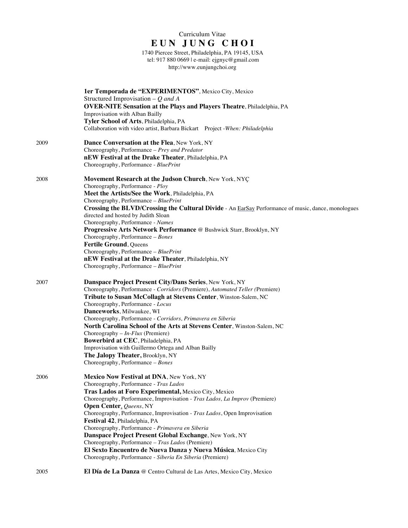1740 Piercee Street, Philadelphia, PA 19145, USA tel: 917 880 0669 | e-mail: ejgnyc@gmail.com http://www.eunjungchoi.org

|      | 1er Temporada de "EXPERIMENTOS", Mexico City, Mexico<br>Structured Improvisation – $Q$ and A<br><b>OVER-NITE Sensation at the Plays and Players Theatre, Philadelphia, PA</b><br>Improvisation with Alban Bailly<br>Tyler School of Arts, Philadelphia, PA<br>Collaboration with video artist, Barbara Bickart Project - When: Philadelphia                                                                                                                                                                                                                                                                                                                         |
|------|---------------------------------------------------------------------------------------------------------------------------------------------------------------------------------------------------------------------------------------------------------------------------------------------------------------------------------------------------------------------------------------------------------------------------------------------------------------------------------------------------------------------------------------------------------------------------------------------------------------------------------------------------------------------|
| 2009 | Dance Conversation at the Flea, New York, NY<br>Choreography, Performance - Prey and Predator<br>nEW Festival at the Drake Theater, Philadelphia, PA<br>Choreography, Performance - BluePrint                                                                                                                                                                                                                                                                                                                                                                                                                                                                       |
| 2008 | Movement Research at the Judson Church, New York, NYC<br>Choreography, Performance - Ploy<br>Meet the Artists/See the Work, Philadelphia, PA<br>Choreography, Performance - BluePrint<br>Crossing the BLVD/Crossing the Cultural Divide - An EarSay Performance of music, dance, monologues<br>directed and hosted by Judith Sloan<br>Choreography, Performance - Names<br>Progressive Arts Network Performance @ Bushwick Starr, Brooklyn, NY<br>Choreography, Performance - Bones<br>Fertile Ground, Queens<br>Choreography, Performance - BluePrint<br>nEW Festival at the Drake Theater, Philadelphia, NY<br>Choreography, Performance - BluePrint              |
| 2007 | Danspace Project Present City/Dans Series, New York, NY<br>Choreography, Performance - Corridors (Premiere), Automated Teller (Premiere)<br>Tribute to Susan McCollagh at Stevens Center, Winston-Salem, NC<br>Choreography, Performance - Locus<br>Danceworks, Milwaukee, WI<br>Choreography, Performance - Corridors, Primavera en Siberia<br>North Carolina School of the Arts at Stevens Center, Winston-Salem, NC<br>Choreography $- In-Flux$ (Premiere)<br>Bowerbird at CEC, Philadelphia, PA<br>Improvisation with Guillermo Ortega and Alban Bailly<br>The Jalopy Theater, Brooklyn, NY<br>Choreography, Performance - Bones                                |
| 2006 | Mexico Now Festival at DNA, New York, NY<br>Choreography, Performance - Tras Lados<br>Tras Lados at Foro Experimental, Mexico City, Mexico<br>Choreography, Performance, Improvisation - Tras Lados, La Improv (Premiere)<br>Open Center, Queens, NY<br>Choreography, Performance, Improvisation - Tras Lados, Open Improvisation<br>Festival 42, Philadelphia, PA<br>Choreography, Performance - Primavera en Siberia<br>Danspace Project Present Global Exchange, New York, NY<br>Choreography, Performance - Tras Lados (Premiere)<br>El Sexto Encuentro de Nueva Danza y Nueva Música, Mexico City<br>Choreography, Performance - Siberia En Siberia (Premiere) |
| 2005 | El Día de La Danza @ Centro Cultural de Las Artes, Mexico City, Mexico                                                                                                                                                                                                                                                                                                                                                                                                                                                                                                                                                                                              |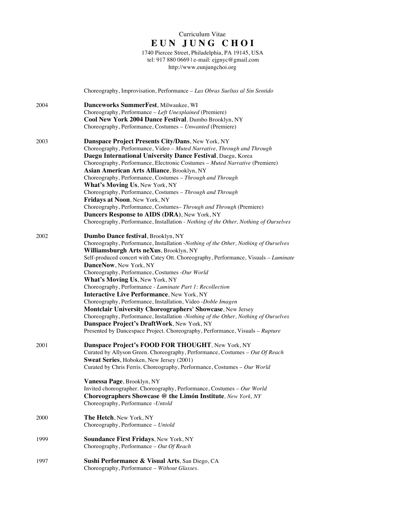1740 Piercee Street, Philadelphia, PA 19145, USA tel: 917 880 0669 | e-mail: ejgnyc@gmail.com http://www.eunjungchoi.org

|      | Choreography, Improvisation, Performance - Las Obras Sueltas al Sin Sentido                                               |
|------|---------------------------------------------------------------------------------------------------------------------------|
| 2004 | Danceworks SummerFest, Milwaukee, WI                                                                                      |
|      | Choreography, Performance - Left Unexplained (Premiere)                                                                   |
|      | Cool New York 2004 Dance Festival, Dumbo Brooklyn, NY                                                                     |
|      | Choreography, Performance, Costumes - Unwanted (Premiere)                                                                 |
| 2003 | Danspace Project Presents City/Dans, New York, NY                                                                         |
|      | Choreography, Performance, Video - Muted Narrative, Through and Through                                                   |
|      | Daegu International University Dance Festival, Daegu, Korea                                                               |
|      | Choreography, Performance, Electronic Costumes - Muted Narrative (Premiere)                                               |
|      | <b>Asian American Arts Alliance</b> , Brooklyn, NY                                                                        |
|      | Choreography, Performance, Costumes - Through and Through                                                                 |
|      | What's Moving Us, New York, NY                                                                                            |
|      | Choreography, Performance, Costumes - Through and Through                                                                 |
|      | <b>Fridays at Noon, New York, NY</b>                                                                                      |
|      | Choreography, Performance, Costumes-Through and Through (Premiere)                                                        |
|      | Dancers Response to AIDS (DRA), New York, NY                                                                              |
|      | Choreography, Performance, Installation - Nothing of the Other, Nothing of Ourselves                                      |
| 2002 | Dumbo Dance festival, Brooklyn, NY                                                                                        |
|      | Choreography, Performance, Installation -Nothing of the Other, Nothing of Ourselves                                       |
|      | Williamsburgh Arts neXus, Brooklyn, NY                                                                                    |
|      | Self-produced concert with Catey Ott. Choreography, Performance, Visuals - Luminate                                       |
|      | DanceNow, New York, NY                                                                                                    |
|      | Choreography, Performance, Costumes -Our World                                                                            |
|      | What's Moving Us, New York, NY                                                                                            |
|      | Choreography, Performance - Luminate Part 1: Recollection                                                                 |
|      | <b>Interactive Live Performance, New York, NY</b>                                                                         |
|      | Choreography, Performance, Installation, Video -Doble Imagen<br>Montclair University Choreographers' Showcase, New Jersey |
|      | Choreography, Performance, Installation -Nothing of the Other, Nothing of Ourselves                                       |
|      | Danspace Project's DraftWork, New York, NY                                                                                |
|      | Presented by Dancespace Project. Choreography, Performance, Visuals - Rupture                                             |
|      |                                                                                                                           |
| 2001 | Danspace Project's FOOD FOR THOUGHT, New York, NY                                                                         |
|      | Curated by Allyson Green. Choreography, Performance, Costumes - Out Of Reach                                              |
|      | Sweat Series, Hoboken, New Jersey (2001)                                                                                  |
|      | Curated by Chris Ferris. Choreography, Performance, Costumes - Our World                                                  |
|      | Vanessa Page, Brooklyn, NY                                                                                                |
|      | Invited choreographer. Choreography, Performance, Costumes - Our World                                                    |
|      | Choreographers Showcase @ the Limón Institute, New York, NY                                                               |
|      | Choreography, Performance - Untold                                                                                        |
| 2000 | <b>The Hetch, New York, NY</b>                                                                                            |
|      | Choreography, Performance - Untold                                                                                        |
| 1999 | Soundance First Fridays, New York, NY                                                                                     |
|      | Choreography, Performance - Out Of Reach                                                                                  |
| 1997 |                                                                                                                           |
|      | Sushi Performance & Visual Arts, San Diego, CA<br>Choreography, Performance - Without Glasses.                            |
|      |                                                                                                                           |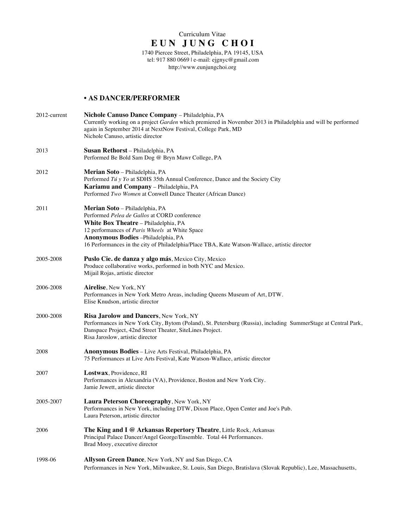tel: 917 880 0669 | e-mail: ejgnyc@gmail.com http://www.eunjungchoi.org

### • **AS DANCER/PERFORMER**

| 2012-current | Nichole Canuso Dance Company - Philadelphia, PA<br>Currently working on a project Garden which premiered in November 2013 in Philadelphia and will be performed<br>again in September 2014 at NextNow Festival, College Park, MD<br>Nichole Canuso, artistic director                                                 |
|--------------|-----------------------------------------------------------------------------------------------------------------------------------------------------------------------------------------------------------------------------------------------------------------------------------------------------------------------|
| 2013         | Susan Rethorst - Philadelphia, PA<br>Performed Be Bold Sam Dog @ Bryn Mawr College, PA                                                                                                                                                                                                                                |
| 2012         | Merian Soto - Philadelphia, PA<br>Performed Tú y Yo at SDHS 35th Annual Conference, Dance and the Society City<br>Kariamu and Company - Philadelphia, PA<br>Performed Two Women at Conwell Dance Theater (African Dance)                                                                                              |
| 2011         | Merian Soto - Philadelphia, PA<br>Performed <i>Pelea de Gallos</i> at CORD conference<br>White Box Theatre - Philadelphia, PA<br>12 performances of Paris Wheels at White Space<br>Anonymous Bodies-Philadelphia, PA<br>16 Performances in the city of Philadelphia/Place TBA, Kate Watson-Wallace, artistic director |
| 2005-2008    | Puslo Cie. de danza y algo más, Mexico City, Mexico<br>Produce collaborative works, performed in both NYC and Mexico.<br>Mijail Rojas, artistic director                                                                                                                                                              |
| 2006-2008    | Airelise, New York, NY<br>Performances in New York Metro Areas, including Queens Museum of Art, DTW.<br>Elise Knudson, artistic director                                                                                                                                                                              |
| 2000-2008    | Risa Jarolow and Dancers, New York, NY<br>Performances in New York City, Bytom (Poland), St. Petersburg (Russia), including SummerStage at Central Park,<br>Danspace Project, 42nd Street Theater, SiteLines Project.<br>Risa Jaroslow, artistic director                                                             |
| 2008         | <b>Anonymous Bodies</b> – Live Arts Festival, Philadelphia, PA<br>75 Performances at Live Arts Festival, Kate Watson-Wallace, artistic director                                                                                                                                                                       |
| 2007         | Lostwax, Providence, RI<br>Performances in Alexandria (VA), Providence, Boston and New York City.<br>Jamie Jewett, artistic director                                                                                                                                                                                  |
| 2005-2007    | Laura Peterson Choreography, New York, NY<br>Performances in New York, including DTW, Dixon Place, Open Center and Joe's Pub.<br>Laura Peterson, artistic director                                                                                                                                                    |
| 2006         | The King and I @ Arkansas Repertory Theatre, Little Rock, Arkansas<br>Principal Palace Dancer/Angel George/Ensemble. Total 44 Performances.<br>Brad Mooy, executive director                                                                                                                                          |
| 1998-06      | Allyson Green Dance, New York, NY and San Diego, CA<br>Performances in New York, Milwaukee, St. Louis, San Diego, Bratislava (Slovak Republic), Lee, Massachusetts,                                                                                                                                                   |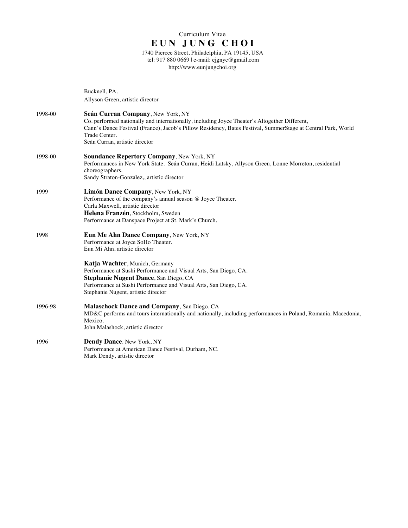1740 Piercee Street, Philadelphia, PA 19145, USA tel: 917 880 0669 | e-mail: ejgnyc@gmail.com http://www.eunjungchoi.org

Bucknell, PA. Allyson Green, artistic director

- 1998-00 **Seán Curran Company**, New York, NY Co. performed nationally and internationally, including Joyce Theater's Altogether Different, Cann's Dance Festival (France), Jacob's Pillow Residency, Bates Festival, SummerStage at Central Park, World Trade Center. Seán Curran, artistic director
- 1998-00 **Soundance Repertory Company**, New York, NY Performances in New York State. Seán Curran, Heidi Latsky, Allyson Green, Lonne Morreton, residential choreographers. Sandy Straton-Gonzalez,, artistic director
- 1999 **Limón Dance Company**, New York, NY Performance of the company's annual season @ Joyce Theater. Carla Maxwell, artistic director **Helena Franzén**, Stockholm, Sweden Performance at Danspace Project at St. Mark's Church.
- 1998 **Eun Me Ahn Dance Company**, New York, NY Performance at Joyce SoHo Theater. Eun Mi Ahn, artistic director

**Katja Wachter**, Munich, Germany Performance at Sushi Performance and Visual Arts, San Diego, CA. **Stephanie Nugent Dance**, San Diego, CA Performance at Sushi Performance and Visual Arts, San Diego, CA. Stephanie Nugent, artistic director

- 1996-98 **Malaschock Dance and Company**, San Diego, CA MD&C performs and tours internationally and nationally, including performances in Poland, Romania, Macedonia, Mexico. John Malashock, artistic director
- 1996 **Dendy Dance**, New York, NY Performance at American Dance Festival, Durham, NC. Mark Dendy, artistic director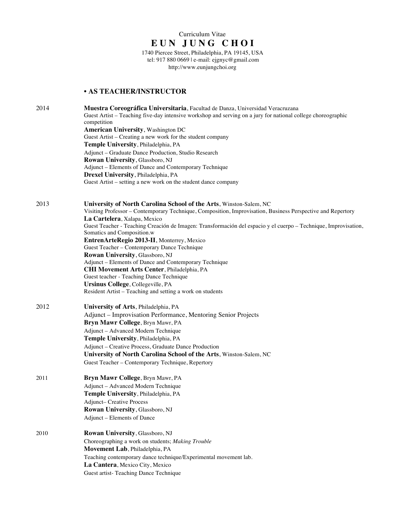### Curriculum Vitae **E U N J U N G C H O I** 1740 Piercee Street, Philadelphia, PA 19145, USA tel: 917 880 0669 | e-mail: ejgnyc@gmail.com http://www.eunjungchoi.org

### • **AS TEACHER/INSTRUCTOR**

| 2014 | Muestra Coreográfica Universitaria, Facultad de Danza, Universidad Veracruzana<br>Guest Artist – Teaching five-day intensive workshop and serving on a jury for national college choreographic<br>competition |  |  |
|------|---------------------------------------------------------------------------------------------------------------------------------------------------------------------------------------------------------------|--|--|
|      | <b>American University, Washington DC</b>                                                                                                                                                                     |  |  |
|      | Guest Artist – Creating a new work for the student company                                                                                                                                                    |  |  |
|      | Temple University, Philadelphia, PA                                                                                                                                                                           |  |  |
|      | Adjunct - Graduate Dance Production, Studio Research                                                                                                                                                          |  |  |
|      | Rowan University, Glassboro, NJ                                                                                                                                                                               |  |  |
|      | Adjunct – Elements of Dance and Contemporary Technique                                                                                                                                                        |  |  |
|      | Drexel University, Philadelphia, PA                                                                                                                                                                           |  |  |
|      | Guest Artist – setting a new work on the student dance company                                                                                                                                                |  |  |
| 2013 | University of North Carolina School of the Arts, Winston-Salem, NC                                                                                                                                            |  |  |
|      | Visiting Professor - Contemporary Technique, Composition, Improvisation, Business Perspective and Repertory                                                                                                   |  |  |
|      | La Cartelera, Xalapa, Mexico                                                                                                                                                                                  |  |  |
|      | Guest Teacher - Teaching Creación de Imagen: Transformación del espacio y el cuerpo - Technique, Improvisation,                                                                                               |  |  |
|      | Somatics and Composition.w                                                                                                                                                                                    |  |  |
|      | EntrenArteRegio 2013-II, Monterrey, Mexico                                                                                                                                                                    |  |  |
|      | Guest Teacher - Contemporary Dance Technique                                                                                                                                                                  |  |  |
|      | Rowan University, Glassboro, NJ<br>Adjunct - Elements of Dance and Contemporary Technique                                                                                                                     |  |  |
|      | CHI Movement Arts Center, Philadelphia, PA                                                                                                                                                                    |  |  |
|      | Guest teacher - Teaching Dance Technique                                                                                                                                                                      |  |  |
|      | Ursinus College, Collegeville, PA                                                                                                                                                                             |  |  |
|      | Resident Artist - Teaching and setting a work on students                                                                                                                                                     |  |  |
| 2012 | University of Arts, Philadelphia, PA                                                                                                                                                                          |  |  |
|      | Adjunct - Improvisation Performance, Mentoring Senior Projects                                                                                                                                                |  |  |
|      | Bryn Mawr College, Bryn Mawr, PA                                                                                                                                                                              |  |  |
|      | Adjunct - Advanced Modern Technique                                                                                                                                                                           |  |  |
|      | Temple University, Philadelphia, PA                                                                                                                                                                           |  |  |
|      | Adjunct - Creative Process, Graduate Dance Production                                                                                                                                                         |  |  |
|      | University of North Carolina School of the Arts, Winston-Salem, NC                                                                                                                                            |  |  |
|      | Guest Teacher - Contemporary Technique, Repertory                                                                                                                                                             |  |  |
| 2011 | Bryn Mawr College, Bryn Mawr, PA                                                                                                                                                                              |  |  |
|      | Adjunct - Advanced Modern Technique                                                                                                                                                                           |  |  |
|      | Temple University, Philadelphia, PA                                                                                                                                                                           |  |  |
|      | <b>Adjunct-Creative Process</b>                                                                                                                                                                               |  |  |
|      | Rowan University, Glassboro, NJ                                                                                                                                                                               |  |  |
|      | Adjunct - Elements of Dance                                                                                                                                                                                   |  |  |
| 2010 | Rowan University, Glassboro, NJ                                                                                                                                                                               |  |  |
|      | Choreographing a work on students; Making Trouble                                                                                                                                                             |  |  |
|      | Movement Lab, Philadelphia, PA                                                                                                                                                                                |  |  |
|      | Teaching contemporary dance technique/Experimental movement lab.                                                                                                                                              |  |  |
|      | La Cantera, Mexico City, Mexico                                                                                                                                                                               |  |  |
|      | Guest artist-Teaching Dance Technique                                                                                                                                                                         |  |  |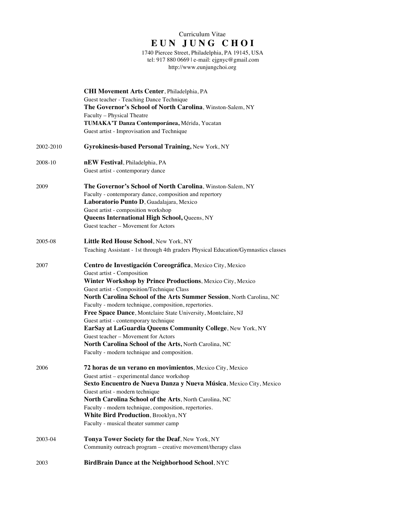1740 Piercee Street, Philadelphia, PA 19145, USA tel: 917 880 0669 | e-mail: ejgnyc@gmail.com http://www.eunjungchoi.org

|           | CHI Movement Arts Center, Philadelphia, PA<br>Guest teacher - Teaching Dance Technique<br>The Governor's School of North Carolina, Winston-Salem, NY<br>Faculty - Physical Theatre<br>TUMAKA'T Danza Contemporánea, Mérida, Yucatan<br>Guest artist - Improvisation and Technique                                                                                                                                                                                                                                                                                                                                                                           |
|-----------|-------------------------------------------------------------------------------------------------------------------------------------------------------------------------------------------------------------------------------------------------------------------------------------------------------------------------------------------------------------------------------------------------------------------------------------------------------------------------------------------------------------------------------------------------------------------------------------------------------------------------------------------------------------|
| 2002-2010 | Gyrokinesis-based Personal Training, New York, NY                                                                                                                                                                                                                                                                                                                                                                                                                                                                                                                                                                                                           |
| 2008-10   | nEW Festival, Philadelphia, PA<br>Guest artist - contemporary dance                                                                                                                                                                                                                                                                                                                                                                                                                                                                                                                                                                                         |
| 2009      | The Governor's School of North Carolina, Winston-Salem, NY<br>Faculty - contemporary dance, composition and repertory<br>Laboratorio Punto D, Guadalajara, Mexico<br>Guest artist - composition workshop<br><b>Queens International High School, Queens, NY</b><br>Guest teacher - Movement for Actors                                                                                                                                                                                                                                                                                                                                                      |
| 2005-08   | Little Red House School, New York, NY<br>Teaching Assistant - 1st through 4th graders Physical Education/Gymnastics classes                                                                                                                                                                                                                                                                                                                                                                                                                                                                                                                                 |
| 2007      | Centro de Investigación Coreográfica, Mexico City, Mexico<br>Guest artist - Composition<br>Winter Workshop by Prince Productions, Mexico City, Mexico<br>Guest artist - Composition/Technique Class<br>North Carolina School of the Arts Summer Session, North Carolina, NC<br>Faculty - modern technique, composition, repertories.<br>Free Space Dance, Montclaire State University, Montclaire, NJ<br>Guest artist - contemporary technique<br>EarSay at LaGuardia Queens Community College, New York, NY<br>Guest teacher - Movement for Actors<br>North Carolina School of the Arts, North Carolina, NC<br>Faculty - modern technique and composition. |
| 2006      | 72 horas de un verano en movimientos, Mexico City, Mexico<br>Guest artist - experimental dance workshop<br>Sexto Encuentro de Nueva Danza y Nueva Música, Mexico City, Mexico<br>Guest artist - modern technique<br>North Carolina School of the Arts, North Carolina, NC<br>Faculty - modern technique, composition, repertories.<br>White Bird Production, Brooklyn, NY<br>Faculty - musical theater summer camp                                                                                                                                                                                                                                          |
| 2003-04   | Tonya Tower Society for the Deaf, New York, NY<br>Community outreach program - creative movement/therapy class                                                                                                                                                                                                                                                                                                                                                                                                                                                                                                                                              |
| 2003      | BirdBrain Dance at the Neighborhood School, NYC                                                                                                                                                                                                                                                                                                                                                                                                                                                                                                                                                                                                             |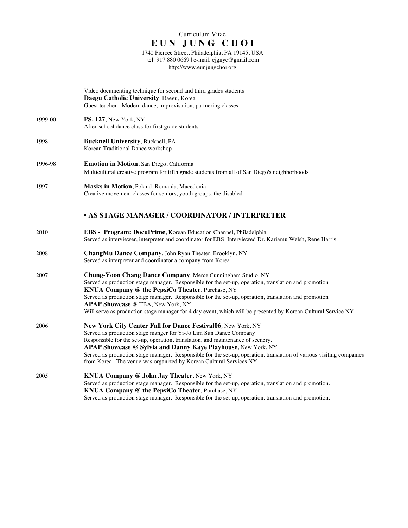1740 Piercee Street, Philadelphia, PA 19145, USA tel: 917 880 0669 | e-mail: ejgnyc@gmail.com http://www.eunjungchoi.org

|         | Video documenting technique for second and third grades students<br>Daegu Catholic University, Daegu, Korea<br>Guest teacher - Modern dance, improvisation, partnering classes                                                                                                                                                                                                                                                                                                         |
|---------|----------------------------------------------------------------------------------------------------------------------------------------------------------------------------------------------------------------------------------------------------------------------------------------------------------------------------------------------------------------------------------------------------------------------------------------------------------------------------------------|
| 1999-00 | PS. 127, New York, NY<br>After-school dance class for first grade students                                                                                                                                                                                                                                                                                                                                                                                                             |
| 1998    | <b>Bucknell University, Bucknell, PA</b><br>Korean Traditional Dance workshop                                                                                                                                                                                                                                                                                                                                                                                                          |
| 1996-98 | <b>Emotion in Motion</b> , San Diego, California<br>Multicultural creative program for fifth grade students from all of San Diego's neighborhoods                                                                                                                                                                                                                                                                                                                                      |
| 1997    | Masks in Motion, Poland, Romania, Macedonia<br>Creative movement classes for seniors, youth groups, the disabled                                                                                                                                                                                                                                                                                                                                                                       |
|         | <b>• AS STAGE MANAGER / COORDINATOR / INTERPRETER</b>                                                                                                                                                                                                                                                                                                                                                                                                                                  |
| 2010    | EBS - Program: DocuPrime, Korean Education Channel, Philadelphia<br>Served as interviewer, interpreter and coordinator for EBS. Interviewed Dr. Kariamu Welsh, Rene Harris                                                                                                                                                                                                                                                                                                             |
| 2008    | ChangMu Dance Company, John Ryan Theater, Brooklyn, NY<br>Served as interpreter and coordinator a company from Korea                                                                                                                                                                                                                                                                                                                                                                   |
| 2007    | Chung-Yoon Chang Dance Company, Merce Cunningham Studio, NY<br>Served as production stage manager. Responsible for the set-up, operation, translation and promotion<br>KNUA Company @ the PepsiCo Theater, Purchase, NY<br>Served as production stage manager. Responsible for the set-up, operation, translation and promotion<br>APAP Showcase @ TBA, New York, NY<br>Will serve as production stage manager for 4 day event, which will be presented by Korean Cultural Service NY. |
| 2006    | New York City Center Fall for Dance Festival06, New York, NY<br>Served as production stage manger for Yi-Jo Lim Sun Dance Company.<br>Responsible for the set-up, operation, translation, and maintenance of scenery.<br>APAP Showcase @ Sylvia and Danny Kaye Playhouse, New York, NY<br>Served as production stage manager. Responsible for the set-up, operation, translation of various visiting companies<br>from Korea. The venue was organized by Korean Cultural Services NY   |
| 2005    | KNUA Company @ John Jay Theater, New York, NY<br>Served as production stage manager. Responsible for the set-up, operation, translation and promotion.<br><b>KNUA Company @ the PepsiCo Theater, Purchase, NY</b>                                                                                                                                                                                                                                                                      |

Served as production stage manager. Responsible for the set-up, operation, translation and promotion.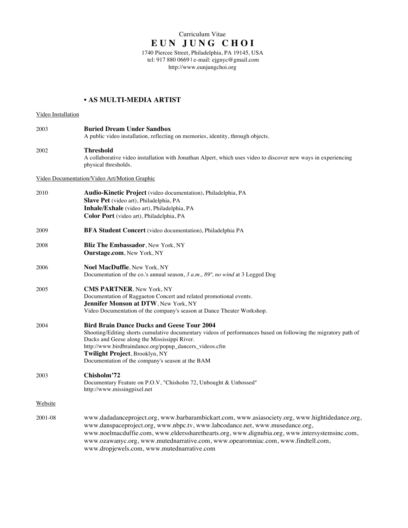tel: 917 880 0669 | e-mail: ejgnyc@gmail.com http://www.eunjungchoi.org

## • **AS MULTI-MEDIA ARTIST**

#### Video Installation

| 2003    | <b>Buried Dream Under Sandbox</b><br>A public video installation, reflecting on memories, identity, through objects.                                                                                                                                                                                                                                                                                              |
|---------|-------------------------------------------------------------------------------------------------------------------------------------------------------------------------------------------------------------------------------------------------------------------------------------------------------------------------------------------------------------------------------------------------------------------|
| 2002    | <b>Threshold</b><br>A collaborative video installation with Jonathan Alpert, which uses video to discover new ways in experiencing<br>physical thresholds.                                                                                                                                                                                                                                                        |
|         | Video Documentation/Video Art/Motion Graphic                                                                                                                                                                                                                                                                                                                                                                      |
| 2010    | Audio-Kinetic Project (video documentation), Philadelphia, PA<br>Slave Pet (video art), Philadelphia, PA<br>Inhale/Exhale (video art), Philadelphia, PA<br>Color Port (video art), Philadelphia, PA                                                                                                                                                                                                               |
| 2009    | <b>BFA Student Concert</b> (video documentation), Philadelphia PA                                                                                                                                                                                                                                                                                                                                                 |
| 2008    | Bliz The Embassador, New York, NY<br>Ourstage.com, New York, NY                                                                                                                                                                                                                                                                                                                                                   |
| 2006    | <b>Noel MacDuffie, New York, NY</b><br>Documentation of the co.'s annual season, $3 a.m., 89^\circ, no wind$ at $3$ Legged Dog                                                                                                                                                                                                                                                                                    |
| 2005    | CMS PARTNER, New York, NY<br>Documentation of Raggaeton Concert and related promotional events.<br>Jennifer Monson at DTW, New York, NY<br>Video Documentation of the company's season at Dance Theater Workshop.                                                                                                                                                                                                 |
| 2004    | <b>Bird Brain Dance Ducks and Geese Tour 2004</b><br>Shooting/Editing shorts cumulative documentary videos of performances based on following the migratory path of<br>Ducks and Geese along the Mississippi River.<br>http://www.birdbraindance.org/popup_dancers_videos.cfm<br>Twilight Project, Brooklyn, NY<br>Documentation of the company's season at the BAM                                               |
| 2003    | Chisholm'72<br>Documentary Feature on P.O.V, "Chisholm 72, Unbought & Unbossed"<br>http://www.missingpixel.net                                                                                                                                                                                                                                                                                                    |
| Website |                                                                                                                                                                                                                                                                                                                                                                                                                   |
| 2001-08 | www.dadadanceproject.org, www.barbarambickart.com, www.asiasociety.org, www.hightidedance.org,<br>www.danspaceproject.org, www.nbpc.tv, www.labcodance.net, www.musedance.org,<br>www.noelmacduffie.com, www.elderssharethearts.org, www.dignubia.org, www.intersystemsinc.com,<br>www.ozawanyc.org, www.mutednarrative.com, www.opearomniac.com, www.findtell.com,<br>www.dropjewels.com, www.mutednarrative.com |